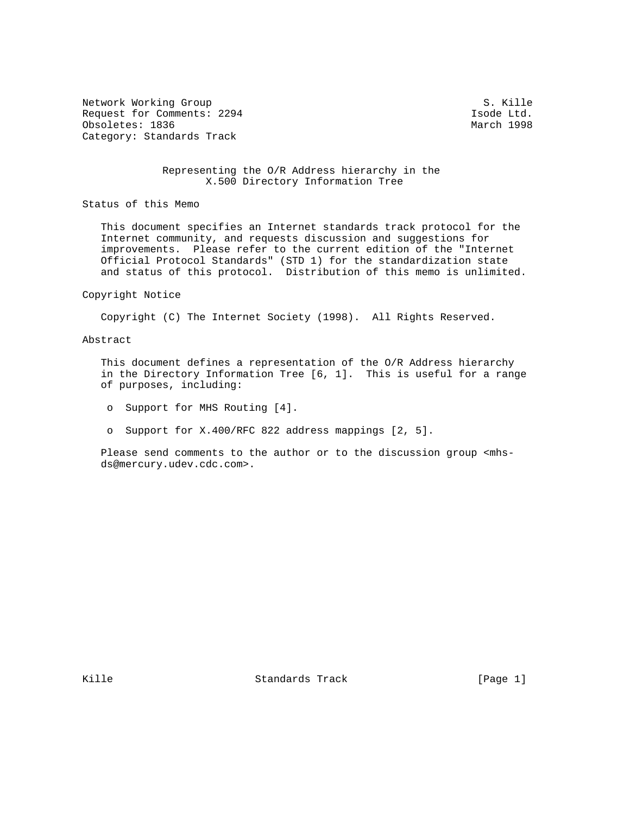Network Working Group S. Kille Request for Comments: 2294 Isode Ltd.<br>
0bsoletes: 1836 Isode Ltd. (1998) Obsoletes: 1836 Category: Standards Track

## Representing the O/R Address hierarchy in the X.500 Directory Information Tree

Status of this Memo

 This document specifies an Internet standards track protocol for the Internet community, and requests discussion and suggestions for improvements. Please refer to the current edition of the "Internet Official Protocol Standards" (STD 1) for the standardization state and status of this protocol. Distribution of this memo is unlimited.

#### Copyright Notice

Copyright (C) The Internet Society (1998). All Rights Reserved.

### Abstract

 This document defines a representation of the O/R Address hierarchy in the Directory Information Tree [6, 1]. This is useful for a range of purposes, including:

- o Support for MHS Routing [4].
- o Support for X.400/RFC 822 address mappings [2, 5].

 Please send comments to the author or to the discussion group <mhs ds@mercury.udev.cdc.com>.

Kille Standards Track [Page 1]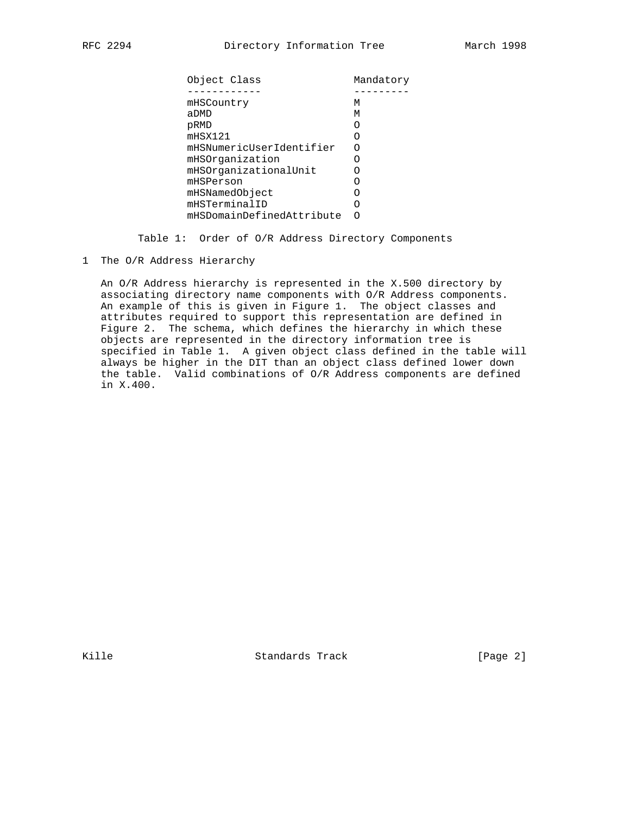| Object Class              | Mandatory |
|---------------------------|-----------|
|                           |           |
| mHSCountry                | М         |
| aDMD                      | М         |
| pRMD                      |           |
| mHSX121                   |           |
| mHSNumericUserIdentifier  | ∩         |
| mHSOrganization           |           |
| mHSOrganizationalUnit     |           |
| mHSPerson                 |           |
| mHSNamedObject            |           |
| mHSTerminalID             | $\bigcap$ |
| mHSDomainDefinedAttribute |           |
|                           |           |

Table 1: Order of O/R Address Directory Components

1 The O/R Address Hierarchy

 An O/R Address hierarchy is represented in the X.500 directory by associating directory name components with O/R Address components. An example of this is given in Figure 1. The object classes and attributes required to support this representation are defined in Figure 2. The schema, which defines the hierarchy in which these objects are represented in the directory information tree is specified in Table 1. A given object class defined in the table will always be higher in the DIT than an object class defined lower down the table. Valid combinations of O/R Address components are defined in X.400.

Kille Standards Track [Page 2]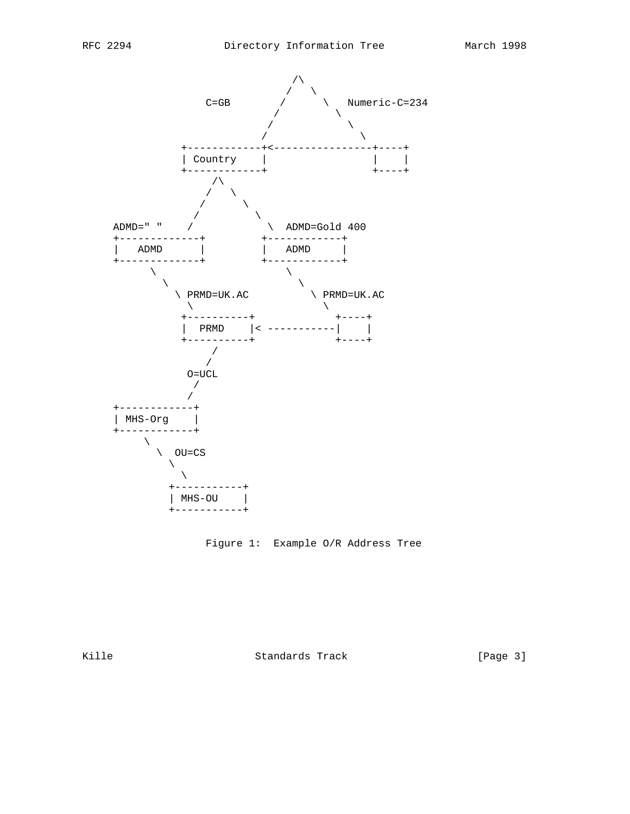

Figure 1: Example O/R Address Tree

Kille Standards Track [Page 3]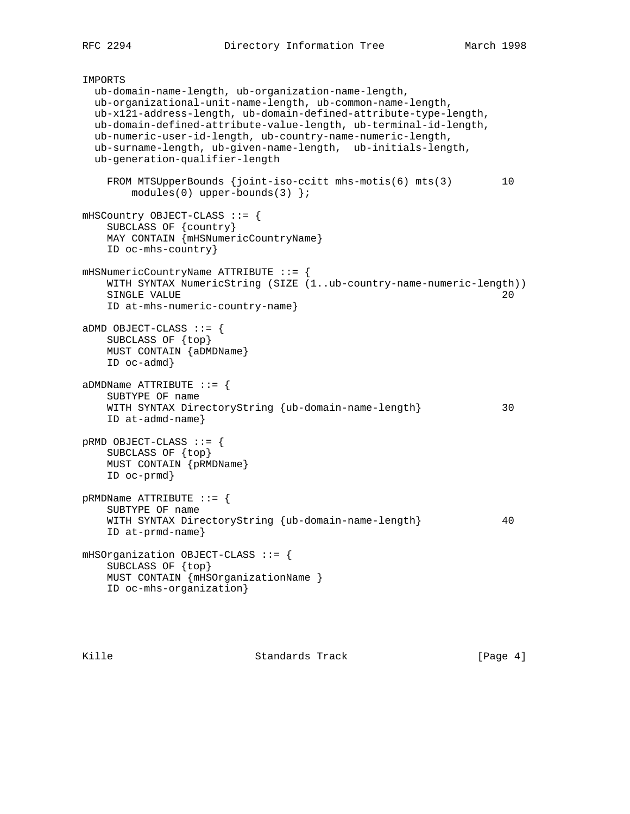```
IMPORTS
  ub-domain-name-length, ub-organization-name-length,
   ub-organizational-unit-name-length, ub-common-name-length,
  ub-x121-address-length, ub-domain-defined-attribute-type-length,
  ub-domain-defined-attribute-value-length, ub-terminal-id-length,
  ub-numeric-user-id-length, ub-country-name-numeric-length,
  ub-surname-length, ub-given-name-length, ub-initials-length,
  ub-generation-qualifier-length
    FROM MTSUpperBounds {joint-iso-ccitt mhs-motis(6) mts(3) 10
        modules(0) upper-bounds(3) };
mHSCountry OBJECT-CLASS ::= {
     SUBCLASS OF {country}
   MAY CONTAIN {mHSNumericCountryName}
    ID oc-mhs-country}
mHSNumericCountryName ATTRIBUTE ::= {
    WITH SYNTAX NumericString (SIZE (1..ub-country-name-numeric-length))
   SINGLE VALUE 20
    ID at-mhs-numeric-country-name}
aDMD OBJECT-CLASS ::= {
    SUBCLASS OF {top}
    MUST CONTAIN {aDMDName}
    ID oc-admd}
aDMDName ATTRIBUTE ::= {
    SUBTYPE OF name
    WITH SYNTAX DirectoryString {ub-domain-name-length} 30
    ID at-admd-name}
pRMD OBJECT-CLASS ::= {
    SUBCLASS OF {top}
    MUST CONTAIN {pRMDName}
    ID oc-prmd}
pRMDName ATTRIBUTE ::= {
     SUBTYPE OF name
    WITH SYNTAX DirectoryString {ub-domain-name-length} 40
    ID at-prmd-name}
mHSOrganization OBJECT-CLASS ::= {
    SUBCLASS OF {top}
    MUST CONTAIN {mHSOrganizationName }
    ID oc-mhs-organization}
```
Kille **Standards Track** [Page 4]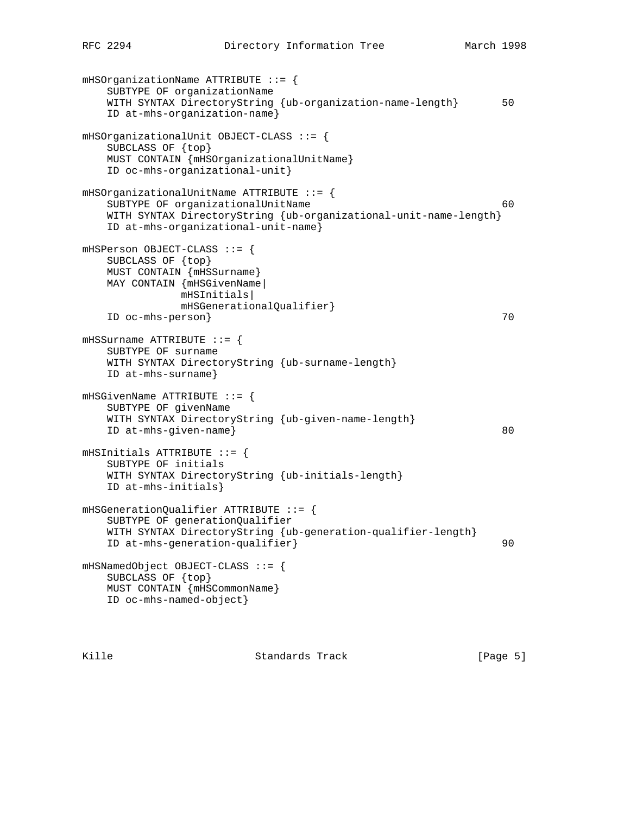```
mHSOrganizationName ATTRIBUTE ::= {
    SUBTYPE OF organizationName
    WITH SYNTAX DirectoryString {ub-organization-name-length} 50
    ID at-mhs-organization-name}
mHSOrganizationalUnit OBJECT-CLASS ::= {
    SUBCLASS OF {top}
    MUST CONTAIN {mHSOrganizationalUnitName}
    ID oc-mhs-organizational-unit}
mHSOrganizationalUnitName ATTRIBUTE ::= {
   SUBTYPE OF organizationalUnitName 60
    WITH SYNTAX DirectoryString {ub-organizational-unit-name-length}
    ID at-mhs-organizational-unit-name}
mHSPerson OBJECT-CLASS ::= {
    SUBCLASS OF {top}
    MUST CONTAIN {mHSSurname}
    MAY CONTAIN {mHSGivenName|
              mHSInitials|
               mHSGenerationalQualifier}
    ID oc-mhs-person} 70
mHSSurname ATTRIBUTE ::= {
    SUBTYPE OF surname
    WITH SYNTAX DirectoryString {ub-surname-length}
    ID at-mhs-surname}
mHSGivenName ATTRIBUTE ::= {
    SUBTYPE OF givenName
    WITH SYNTAX DirectoryString {ub-given-name-length}
    ID at-mhs-given-name} 80
mHSInitials ATTRIBUTE ::= {
    SUBTYPE OF initials
    WITH SYNTAX DirectoryString {ub-initials-length}
    ID at-mhs-initials}
mHSGenerationQualifier ATTRIBUTE ::= {
    SUBTYPE OF generationQualifier
    WITH SYNTAX DirectoryString {ub-generation-qualifier-length}
    ID at-mhs-generation-qualifier} 90
mHSNamedObject OBJECT-CLASS ::= {
    SUBCLASS OF {top}
    MUST CONTAIN {mHSCommonName}
    ID oc-mhs-named-object}
```
Kille Standards Track [Page 5]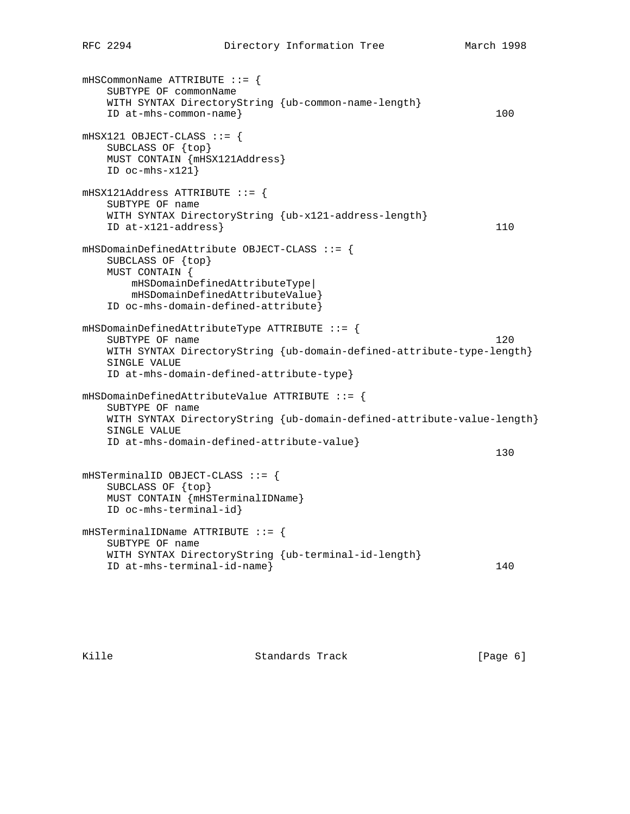```
mHSCommonName ATTRIBUTE ::= {
    SUBTYPE OF commonName
    WITH SYNTAX DirectoryString {ub-common-name-length}
    ID at-mhs-common-name} 100
mHSX121 OBJECT-CLASS ::= {
    SUBCLASS OF {top}
    MUST CONTAIN {mHSX121Address}
    ID oc-mhs-x121}
mHSX121Address ATTRIBUTE ::= {
    SUBTYPE OF name
    WITH SYNTAX DirectoryString {ub-x121-address-length}
    ID at-x121-address} 110
mHSDomainDefinedAttribute OBJECT-CLASS ::= {
    SUBCLASS OF {top}
    MUST CONTAIN {
      mHSDomainDefinedAttributeType|
       mHSDomainDefinedAttributeValue}
    ID oc-mhs-domain-defined-attribute}
mHSDomainDefinedAttributeType ATTRIBUTE ::= {
   SUBTYPE OF name 120
    WITH SYNTAX DirectoryString {ub-domain-defined-attribute-type-length}
    SINGLE VALUE
    ID at-mhs-domain-defined-attribute-type}
mHSDomainDefinedAttributeValue ATTRIBUTE ::= {
    SUBTYPE OF name
    WITH SYNTAX DirectoryString {ub-domain-defined-attribute-value-length}
    SINGLE VALUE
    ID at-mhs-domain-defined-attribute-value}
 130
mHSTerminalID OBJECT-CLASS ::= {
    SUBCLASS OF {top}
    MUST CONTAIN {mHSTerminalIDName}
    ID oc-mhs-terminal-id}
mHSTerminalIDName ATTRIBUTE ::= {
    SUBTYPE OF name
    WITH SYNTAX DirectoryString {ub-terminal-id-length}
    ID at-mhs-terminal-id-name} 140
```
Kille Standards Track [Page 6]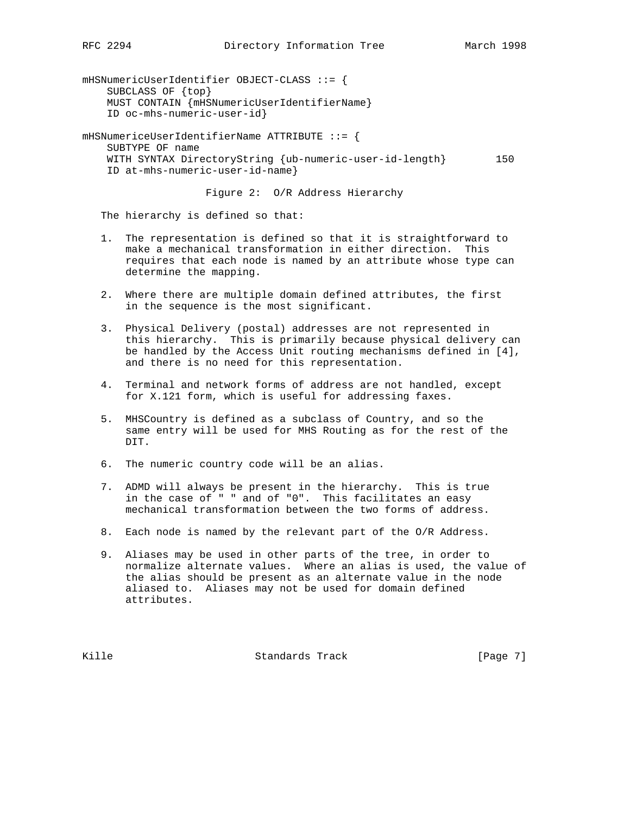mHSNumericUserIdentifier OBJECT-CLASS ::= { SUBCLASS OF {top} MUST CONTAIN {mHSNumericUserIdentifierName} ID oc-mhs-numeric-user-id} mHSNumericeUserIdentifierName ATTRIBUTE ::= { SUBTYPE OF name

 WITH SYNTAX DirectoryString {ub-numeric-user-id-length} 150 ID at-mhs-numeric-user-id-name}

Figure 2: O/R Address Hierarchy

The hierarchy is defined so that:

- 1. The representation is defined so that it is straightforward to make a mechanical transformation in either direction. This requires that each node is named by an attribute whose type can determine the mapping.
- 2. Where there are multiple domain defined attributes, the first in the sequence is the most significant.
- 3. Physical Delivery (postal) addresses are not represented in this hierarchy. This is primarily because physical delivery can be handled by the Access Unit routing mechanisms defined in [4], and there is no need for this representation.
- 4. Terminal and network forms of address are not handled, except for X.121 form, which is useful for addressing faxes.
- 5. MHSCountry is defined as a subclass of Country, and so the same entry will be used for MHS Routing as for the rest of the DIT.
- 6. The numeric country code will be an alias.
- 7. ADMD will always be present in the hierarchy. This is true in the case of " " and of "0". This facilitates an easy mechanical transformation between the two forms of address.
- 8. Each node is named by the relevant part of the O/R Address.
- 9. Aliases may be used in other parts of the tree, in order to normalize alternate values. Where an alias is used, the value of the alias should be present as an alternate value in the node aliased to. Aliases may not be used for domain defined attributes.

Kille Standards Track [Page 7]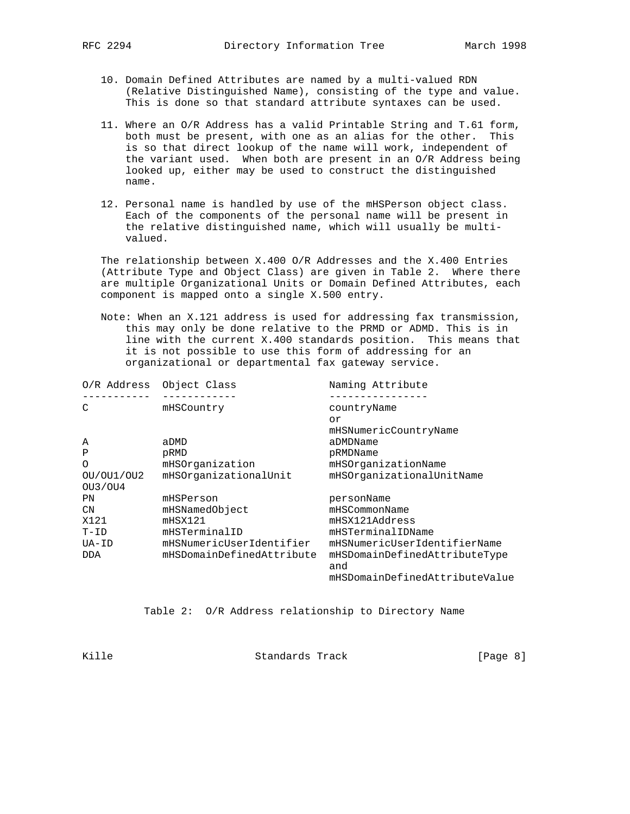- 10. Domain Defined Attributes are named by a multi-valued RDN (Relative Distinguished Name), consisting of the type and value. This is done so that standard attribute syntaxes can be used.
- 11. Where an O/R Address has a valid Printable String and T.61 form, both must be present, with one as an alias for the other. This is so that direct lookup of the name will work, independent of the variant used. When both are present in an O/R Address being looked up, either may be used to construct the distinguished name.
- 12. Personal name is handled by use of the mHSPerson object class. Each of the components of the personal name will be present in the relative distinguished name, which will usually be multi valued.

 The relationship between X.400 O/R Addresses and the X.400 Entries (Attribute Type and Object Class) are given in Table 2. Where there are multiple Organizational Units or Domain Defined Attributes, each component is mapped onto a single X.500 entry.

 Note: When an X.121 address is used for addressing fax transmission, this may only be done relative to the PRMD or ADMD. This is in line with the current X.400 standards position. This means that it is not possible to use this form of addressing for an organizational or departmental fax gateway service.

| O/R Address | Object Class              | Naming Attribute                     |
|-------------|---------------------------|--------------------------------------|
| C           | mHSCountry                | countryName                          |
|             |                           | 0r                                   |
|             |                           | mHSNumericCountryName                |
| Α           | aDMD                      | aDMDName                             |
| Ρ           | pRMD                      | pRMDName                             |
| $\Omega$    | mHSOrganization           | mHSOrganizationName                  |
| OU/OU1/OU2  | mHSOrganizationalUnit     | mHSOrganizationalUnitName            |
| OU3/OU4     |                           |                                      |
| ΡN          | mHSPerson                 | personName                           |
| CN          | mHSNamedObject            | mHSCommonName                        |
| X121        | mHSX121                   | mHSX121Address                       |
| $T-TD$      | mHSTerminalID             | mHSTerminalIDName                    |
| UA-ID       | mHSNumericUserIdentifier  | mHSNumericUserIdentifierName         |
| <b>DDA</b>  | mHSDomainDefinedAttribute | mHSDomainDefinedAttributeType<br>and |
|             |                           | mHSDomainDefinedAttributeValue       |

Table 2: O/R Address relationship to Directory Name

Kille **Standards Track** [Page 8]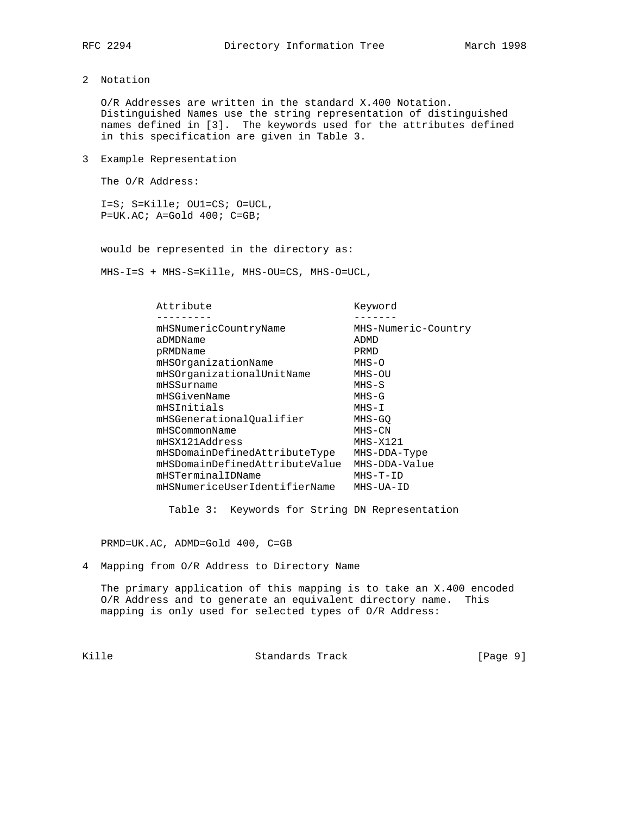- 
- 2 Notation

 O/R Addresses are written in the standard X.400 Notation. Distinguished Names use the string representation of distinguished names defined in [3]. The keywords used for the attributes defined in this specification are given in Table 3.

3 Example Representation

The O/R Address:

 I=S; S=Kille; OU1=CS; O=UCL, P=UK.AC; A=Gold 400; C=GB;

would be represented in the directory as:

MHS-I=S + MHS-S=Kille, MHS-OU=CS, MHS-O=UCL,

| Attribute                      | Keyword             |
|--------------------------------|---------------------|
|                                |                     |
| mHSNumericCountryName          | MHS-Numeric-Country |
| aDMDName                       | ADMD                |
| pRMDName                       | PRMD                |
| mHSOrganizationName            | $MHS-O$             |
| mHSOrganizationalUnitName      | MHS-OU              |
| mHSSurname                     | $MHS-S$             |
| mHSGivenName                   | MHS-G               |
| mHSInitials                    | $MHS-I$             |
| mHSGenerationalOualifier       | MHS-GO              |
| mHSCommonName                  | $MHS-CN$            |
| mHSX121Address                 | $MHS - X121$        |
| mHSDomainDefinedAttributeType  | MHS-DDA-Type        |
| mHSDomainDefinedAttributeValue | MHS-DDA-Value       |
| mHSTerminalIDName              | $MHS-T-ID$          |
| mHSNumericeUserIdentifierName  | MHS-UA-ID           |
|                                |                     |

Table 3: Keywords for String DN Representation

PRMD=UK.AC, ADMD=Gold 400, C=GB

4 Mapping from O/R Address to Directory Name

 The primary application of this mapping is to take an X.400 encoded O/R Address and to generate an equivalent directory name. This mapping is only used for selected types of O/R Address:

Kille Standards Track [Page 9]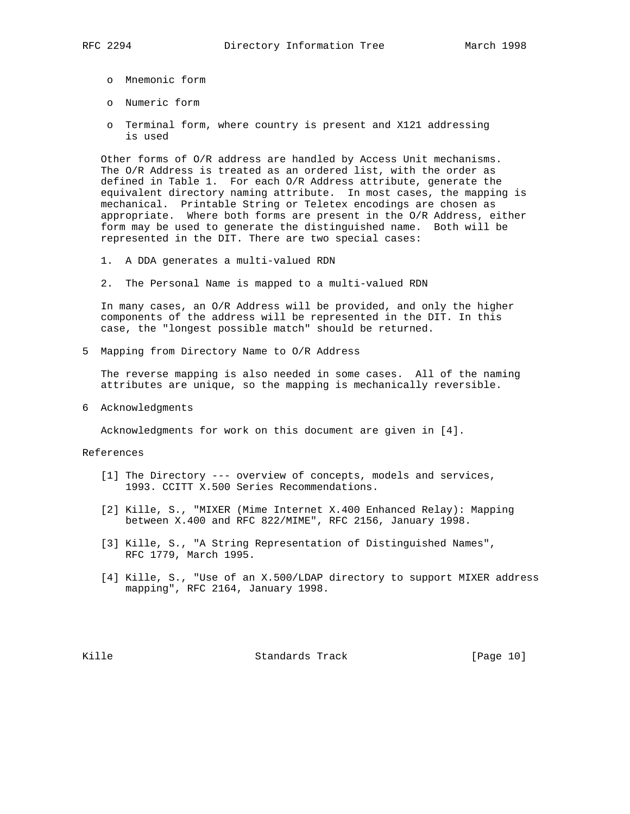- o Mnemonic form
- o Numeric form
- o Terminal form, where country is present and X121 addressing is used

 Other forms of O/R address are handled by Access Unit mechanisms. The O/R Address is treated as an ordered list, with the order as defined in Table 1. For each O/R Address attribute, generate the equivalent directory naming attribute. In most cases, the mapping is mechanical. Printable String or Teletex encodings are chosen as appropriate. Where both forms are present in the O/R Address, either form may be used to generate the distinguished name. Both will be represented in the DIT. There are two special cases:

- 1. A DDA generates a multi-valued RDN
- 2. The Personal Name is mapped to a multi-valued RDN

 In many cases, an O/R Address will be provided, and only the higher components of the address will be represented in the DIT. In this case, the "longest possible match" should be returned.

5 Mapping from Directory Name to O/R Address

 The reverse mapping is also needed in some cases. All of the naming attributes are unique, so the mapping is mechanically reversible.

6 Acknowledgments

Acknowledgments for work on this document are given in [4].

References

- [1] The Directory --- overview of concepts, models and services, 1993. CCITT X.500 Series Recommendations.
- [2] Kille, S., "MIXER (Mime Internet X.400 Enhanced Relay): Mapping between X.400 and RFC 822/MIME", RFC 2156, January 1998.
- [3] Kille, S., "A String Representation of Distinguished Names", RFC 1779, March 1995.
- [4] Kille, S., "Use of an X.500/LDAP directory to support MIXER address mapping", RFC 2164, January 1998.

Kille Standards Track [Page 10]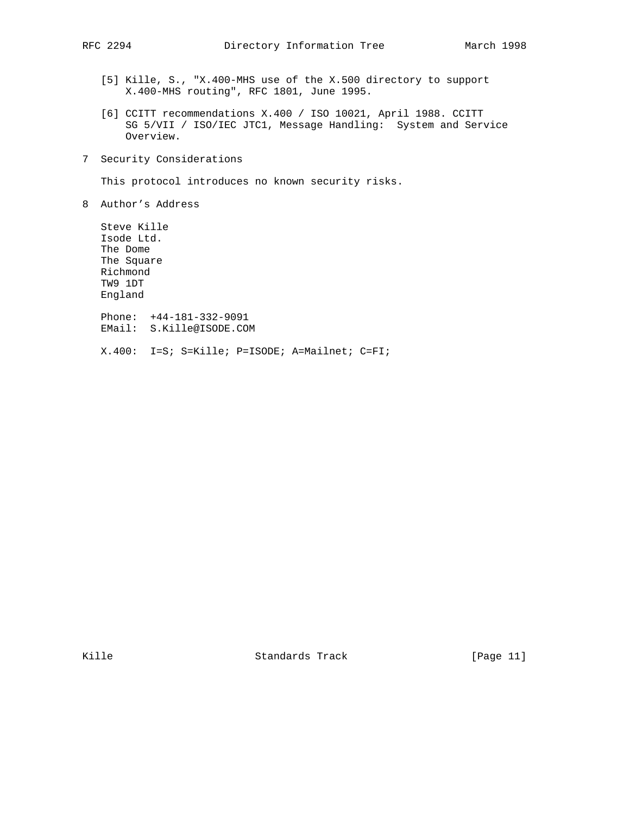- [5] Kille, S., "X.400-MHS use of the X.500 directory to support X.400-MHS routing", RFC 1801, June 1995.
- [6] CCITT recommendations X.400 / ISO 10021, April 1988. CCITT SG 5/VII / ISO/IEC JTC1, Message Handling: System and Service Overview.
- 7 Security Considerations

This protocol introduces no known security risks.

8 Author's Address

 Steve Kille Isode Ltd. The Dome The Square Richmond TW9 1DT England Phone: +44-181-332-9091 EMail: S.Kille@ISODE.COM

X.400: I=S; S=Kille; P=ISODE; A=Mailnet; C=FI;

Kille Standards Track [Page 11]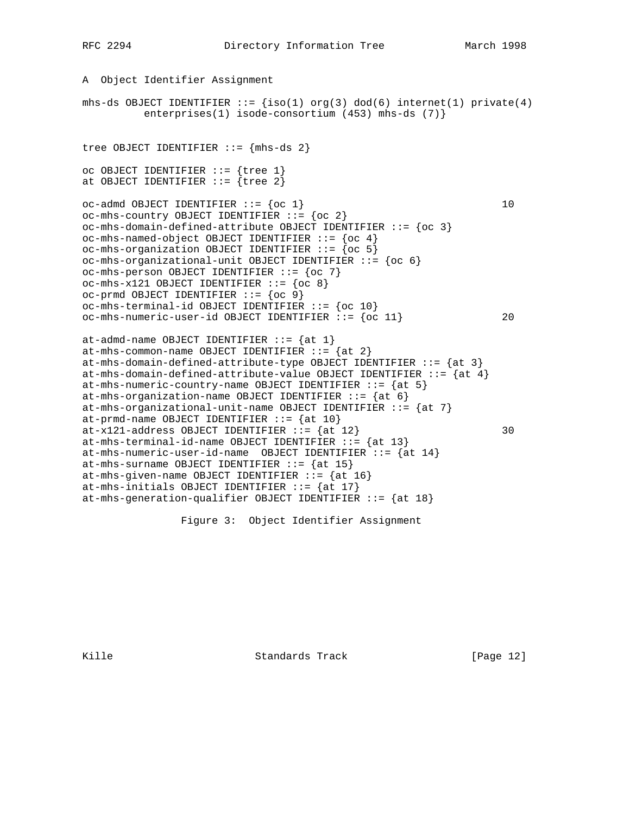```
A Object Identifier Assignment
mhs-ds OBJECT IDENTIFIER  ::= \{ iso(1) \text{ org}(3) \text{ dod}(6) internet(1) private(4)
          enterprises(1) isode-consortium (453) mhs-ds (7)}
tree OBJECT IDENTIFIER ::= {mhs-ds 2}
oc OBJECT IDENTIFIER ::= {tree 1}
at OBJECT IDENTIFIER ::= {tree 2}
oc-admd OBJECT IDENTIFIER ::= {oc 1} 10
oc-mhs-country OBJECT IDENTIFIER ::= {oc 2}
oc-mhs-domain-defined-attribute OBJECT IDENTIFIER ::= {oc 3}
oc-mhs-named-object OBJECT IDENTIFIER ::= {oc 4}
oc-mhs-organization OBJECT IDENTIFIER ::= {oc 5}
oc-mhs-organizational-unit OBJECT IDENTIFIER ::= {oc 6}
oc-mhs-person OBJECT IDENTIFIER ::= {oc 7}
oc-mhs-x121 OBJECT IDENTIFIER ::= {oc 8}
oc-prmd OBJECT IDENTIFIER ::= \{oc 9\}oc-mhs-terminal-id OBJECT IDENTIFIER ::= {oc 10}
oc-mhs-numeric-user-id OBJECT IDENTIFIER ::= {oc 11} 20
at-admd-name OBJECT IDENTIFIER ::= \{at 1\}at-mhs-common-name OBJECT IDENTIFIER ::= \{at 2\}at-mhs-domain-defined-attribute-type OBJECT IDENTIFIER ::= \{at 3\}at-mhs-domain-defined-attribute-value OBJECT IDENTIFIER ::= \{at 4\}at-mhs-numeric-country-name OBJECT IDENTIFIER ::= \{at 5\}at-mhs-organization-name OBJECT IDENTIFIER ::= \{at 6\}at-mhs-organizational-unit-name OBJECT IDENTIFIER ::= \{at 7\}at-prmd-name OBJECT IDENTIFIER ::= \{at 10\}at-x121-address OBJECT IDENTIFIER ::= {at 12} 30
at-mhs-terminal-id-name OBJECT IDENTIFIER ::= \{at 13\}at-mhs-numeric-user-id-name OBJECT IDENTIFIER ::= \{at 14\}at-mhs-surname OBJECT IDENTIFIER ::= \{at 15\}at-mhs-given-name OBJECT IDENTIFIER ::= \{at 16\}at-mhs-initials OBJECT IDENTIFIER ::= \{at 17\}at-mhs-generation-qualifier OBJECT IDENTIFIER ::= {at 18}
```
Figure 3: Object Identifier Assignment

Kille Standards Track [Page 12]